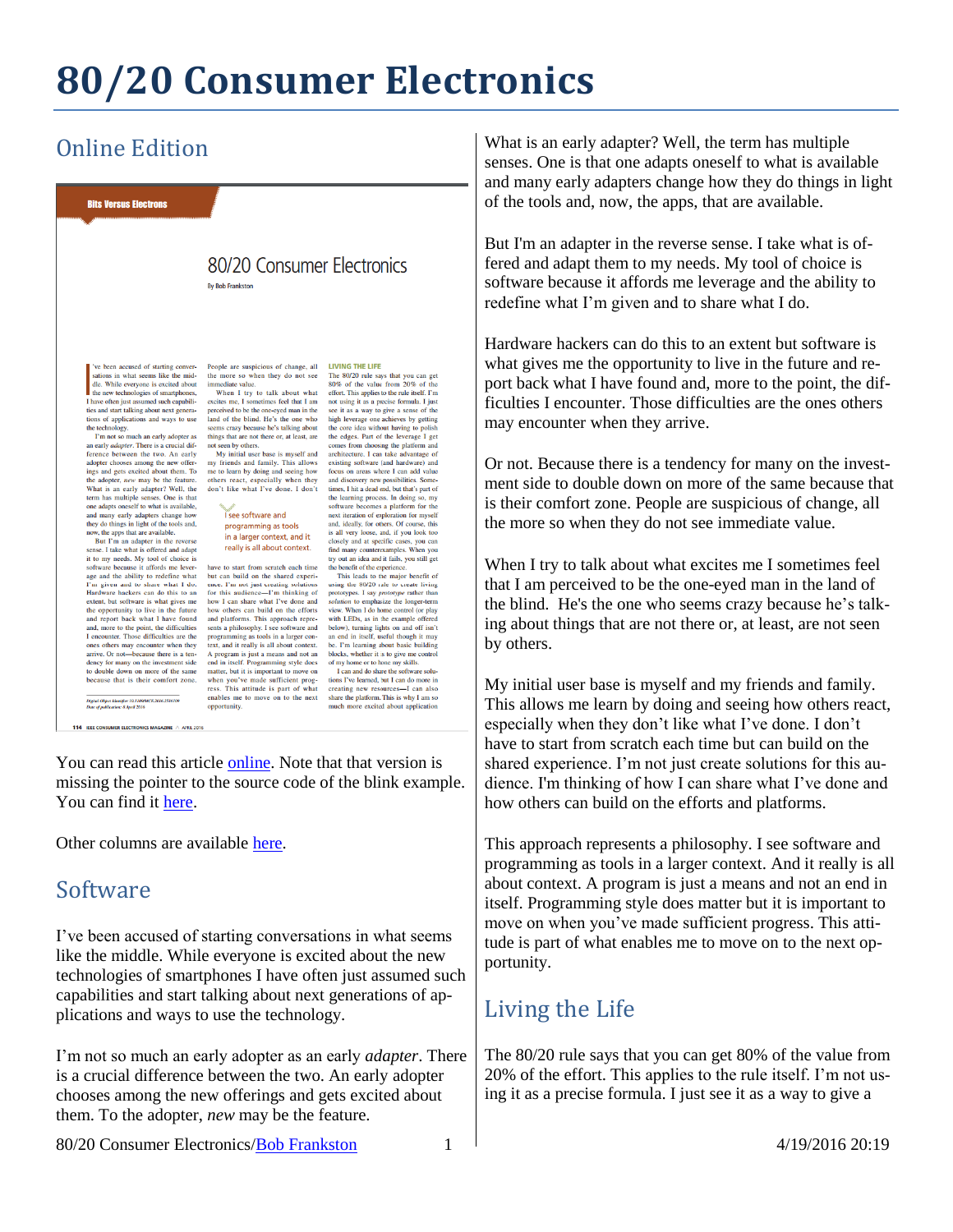# **80/20 Consumer Electronics**

#### Online Edition

**Rits Versus Flectrons** 

#### 80/20 Consumer Electronics **By Bob Frankston**

ve been accused of starting conv sations in what seems like the middle. While everyone is excited about dle. While everyone is excited about<br>the new technologies of smartphones,<br>I have often just assumed such capabili-<br>ties and start talking about next generations of applications and ways to use<br>the technology.<br>The not so m

an early *adapter*. There is a crucial difference between the two. An early ference between the two. An early<br>adopter chooses among the new offer-<br>ings and gets excited about them. To<br>the adopter, *new* may be the feature.<br>What is an early adapter? Well, the<br>term has multiple senses. One is that<br>o and many early adapters change how they do things in light of the tools and,

they do things in light of the tools and,<br>now, the apps bit are available.<br>But I'm an adapter in the reverse<br>sense. I take what is offered and eatapt<br>it to my needs. My tool of choice is<br>software because it affords me leve Hardware hackers can do this to an extent, but software is what gives me extent, but software is what gives me<br>the opportunity to live in the future<br>and report back what I have found<br>and, more to the point, the difficulties<br>I encounter. Those difficulties are the<br>ones others may encounter when arrive. Or not-because there is a ten dency for many on the investment side to double down on more of the same because that is their comfort zone.

People are suspicious of change, all the more so when they do not see immediate value.

immediate value.<br>When I try to talk about what<br>excites me, I sometimes feel that I am<br>perceived to be the one-eyed man in the<br>land of the blind. He's the one who<br>seems crazy because he's talking about<br>things that are not t en by others.

My initial user base is myself and my friends and family. This allows my friends and family. This allows<br>me to learn by doing and seeing how<br>others react, especially when they<br>don't like what I've done. I don't

> isee software and programming as tools in a larger context, and it really is all about context.

start from scratch each time but can build on the shared experience. I'm not just creating solutions<br>for this audience—I'm thinking of how I can share what I've done and how others can build on the efforts now outers can out<br>an outer of the enormal parameter sents a philosophy. I see software and<br>programming as tools in a larger con-<br>text, and it really is all about context. A program is just a means and not an end in itself. Programming style does end in itself. Programming style tools<br>matter, but it is important to move on<br>when you've made sufficient progress. This attitude is part of what<br>enables me to move on to the next<br>opportunity.

#### **LIVING THE LIFE**

The 80/20 rule says that you can get 80% of the value from 20% of the 80% of the value from 20% of the method in the end in the method. In not using it as a precise formula. I just see it as a way to give a sense of the high leverage one achieves by getting the choc content the core idea, Pa comes from choosing the platform and architecture. I can take advantage of existing software (and hardware) and focus on areas where I can add value rocus on areas where 1 can advanted the<br>and discovery new possibilities. Some-<br>times, I hit a dead end, but that's part of<br>the learning process. In doing so, my<br>software becomes a platform for the next iteration of exploration for myself and, ideally, for others. Of course, this and, ideally, for others. Of course, this<br>is all very loose, and, if you look too<br>closely and at specific cases, you can<br>find many counterexamples. When you<br>try out an idea and it fails, you still get<br>the benefit of the e

using the 80/20 rule to create living prototypes. I say *prototype* rather than<br>solution to emphasize the longer-term view. When I do home control (or play<br>with LEDs, as in the example offered view, when 1 on one control (or play<br>which LEDs, as in the example offered<br>below), turning lights on and off isn't<br>an end in itself, useful though it may<br>be. I'm learning about basic building blocks, whether it is to give me control of my home or to hone my skills.

I can and do share the software solutions I've learned, but I can do more in cours r ve rearned, out r can do more in<br>creating new resources—I can also<br>share the platform. This is why I am so<br>much more excited about application

-<br>Digital Object Identifier 10.1109/MCE.2016.2516109<br>Date of publication: 8 April 2016 114 IEEE CONSUMER ELECTRONICS MAGAZINE A APRIL 2016

You can read this article [online.](http://ieeexplore.ieee.org/stamp/stamp.jsp?tp=&arnumber=7450758) Note that that version is missing the pointer to the source code of the blink example. You can find it [here.](http://rmf.vc/BlinkyZIp)

Other columns are available [here.](http://rmf.vc/FurtherReading#Columns)

#### Software

I've been accused of starting conversations in what seems like the middle. While everyone is excited about the new technologies of smartphones I have often just assumed such capabilities and start talking about next generations of applications and ways to use the technology.

I'm not so much an early adopter as an early *adapter*. There is a crucial difference between the two. An early adopter chooses among the new offerings and gets excited about them. To the adopter, *new* may be the feature.

What is an early adapter? Well, the term has multiple senses. One is that one adapts oneself to what is available and many early adapters change how they do things in light of the tools and, now, the apps, that are available.

But I'm an adapter in the reverse sense. I take what is offered and adapt them to my needs. My tool of choice is software because it affords me leverage and the ability to redefine what I'm given and to share what I do.

Hardware hackers can do this to an extent but software is what gives me the opportunity to live in the future and report back what I have found and, more to the point, the difficulties I encounter. Those difficulties are the ones others may encounter when they arrive.

Or not. Because there is a tendency for many on the investment side to double down on more of the same because that is their comfort zone. People are suspicious of change, all the more so when they do not see immediate value.

When I try to talk about what excites me I sometimes feel that I am perceived to be the one-eyed man in the land of the blind. He's the one who seems crazy because he's talking about things that are not there or, at least, are not seen by others.

My initial user base is myself and my friends and family. This allows me learn by doing and seeing how others react, especially when they don't like what I've done. I don't have to start from scratch each time but can build on the shared experience. I'm not just create solutions for this audience. I'm thinking of how I can share what I've done and how others can build on the efforts and platforms.

This approach represents a philosophy. I see software and programming as tools in a larger context. And it really is all about context. A program is just a means and not an end in itself. Programming style does matter but it is important to move on when you've made sufficient progress. This attitude is part of what enables me to move on to the next opportunity.

## Living the Life

The 80/20 rule says that you can get 80% of the value from 20% of the effort. This applies to the rule itself. I'm not using it as a precise formula. I just see it as a way to give a

80/20 Consumer Electronics[/Bob Frankston](http://frankston.com/public) 1 4/19/2016 20:19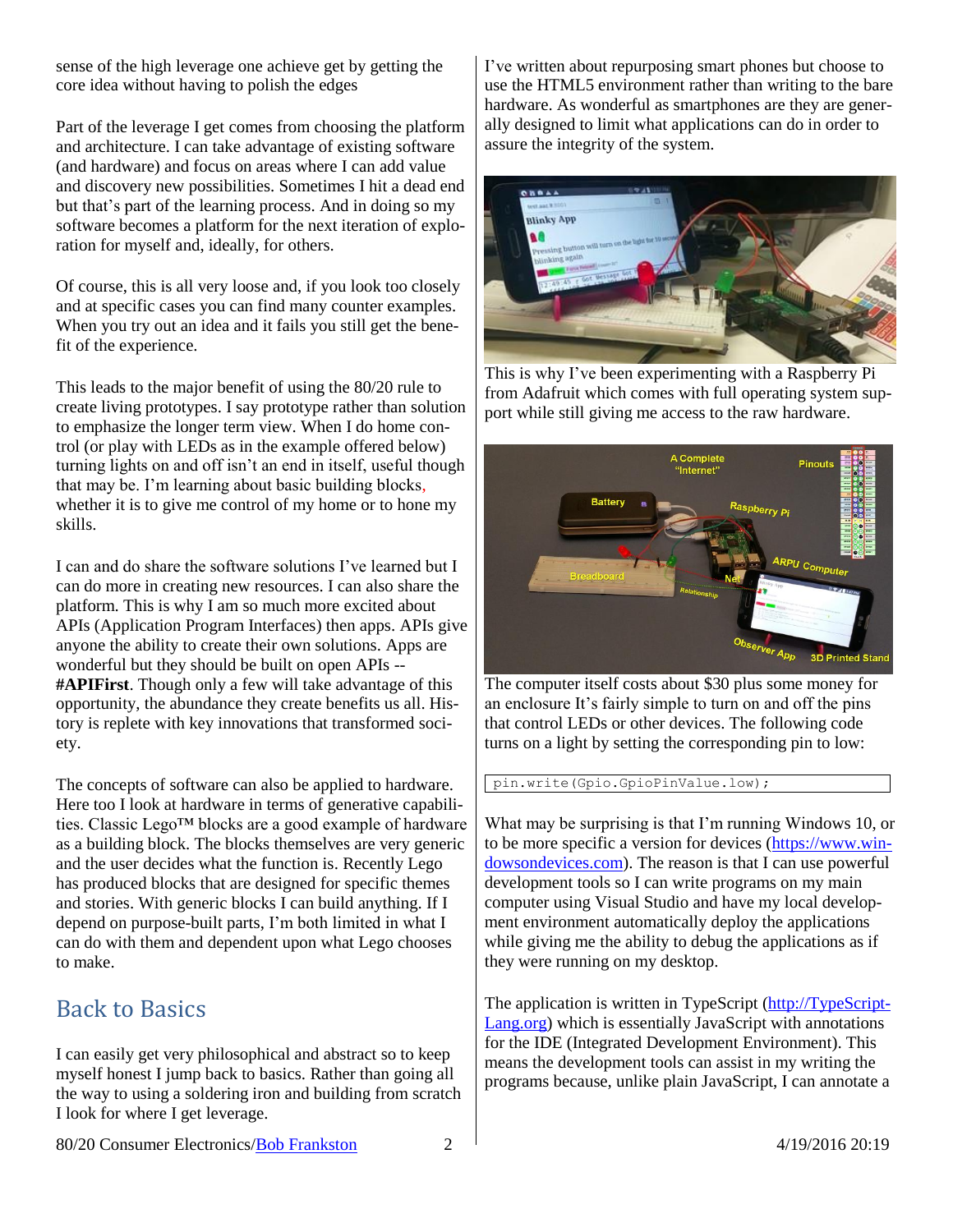sense of the high leverage one achieve get by getting the core idea without having to polish the edges

Part of the leverage I get comes from choosing the platform and architecture. I can take advantage of existing software (and hardware) and focus on areas where I can add value and discovery new possibilities. Sometimes I hit a dead end but that's part of the learning process. And in doing so my software becomes a platform for the next iteration of exploration for myself and, ideally, for others.

Of course, this is all very loose and, if you look too closely and at specific cases you can find many counter examples. When you try out an idea and it fails you still get the benefit of the experience.

This leads to the major benefit of using the 80/20 rule to create living prototypes. I say prototype rather than solution to emphasize the longer term view. When I do home control (or play with LEDs as in the example offered below) turning lights on and off isn't an end in itself, useful though that may be. I'm learning about basic building blocks, whether it is to give me control of my home or to hone my skills.

I can and do share the software solutions I've learned but I can do more in creating new resources. I can also share the platform. This is why I am so much more excited about APIs (Application Program Interfaces) then apps. APIs give anyone the ability to create their own solutions. Apps are wonderful but they should be built on open APIs -- **#APIFirst**. Though only a few will take advantage of this opportunity, the abundance they create benefits us all. History is replete with key innovations that transformed society.

The concepts of software can also be applied to hardware. Here too I look at hardware in terms of generative capabilities. Classic Lego™ blocks are a good example of hardware as a building block. The blocks themselves are very generic and the user decides what the function is. Recently Lego has produced blocks that are designed for specific themes and stories. With generic blocks I can build anything. If I depend on purpose-built parts, I'm both limited in what I can do with them and dependent upon what Lego chooses to make.

#### Back to Basics

I can easily get very philosophical and abstract so to keep myself honest I jump back to basics. Rather than going all the way to using a soldering iron and building from scratch I look for where I get leverage.

I've written about repurposing smart phones but choose to use the HTML5 environment rather than writing to the bare hardware. As wonderful as smartphones are they are generally designed to limit what applications can do in order to assure the integrity of the system.



This is why I've been experimenting with a Raspberry Pi from Adafruit which comes with full operating system support while still giving me access to the raw hardware.



The computer itself costs about \$30 plus some money for an enclosure It's fairly simple to turn on and off the pins that control LEDs or other devices. The following code turns on a light by setting the corresponding pin to low:

pin.write(Gpio.GpioPinValue.low);

What may be surprising is that I'm running Windows 10, or to be more specific a version for devices [\(https://www.win](https://www.windowsondevices.com/)[dowsondevices.com\)](https://www.windowsondevices.com/). The reason is that I can use powerful development tools so I can write programs on my main computer using Visual Studio and have my local development environment automatically deploy the applications while giving me the ability to debug the applications as if they were running on my desktop.

The application is written in TypeScript [\(http://TypeScript-](http://typescriptlang.org/)[Lang.org\)](http://typescriptlang.org/) which is essentially JavaScript with annotations for the IDE (Integrated Development Environment). This means the development tools can assist in my writing the programs because, unlike plain JavaScript, I can annotate a

 $80/20$  Consumer Electronics[/Bob Frankston](http://frankston.com/public) 2  $\frac{1}{2}$  4/19/2016 20:19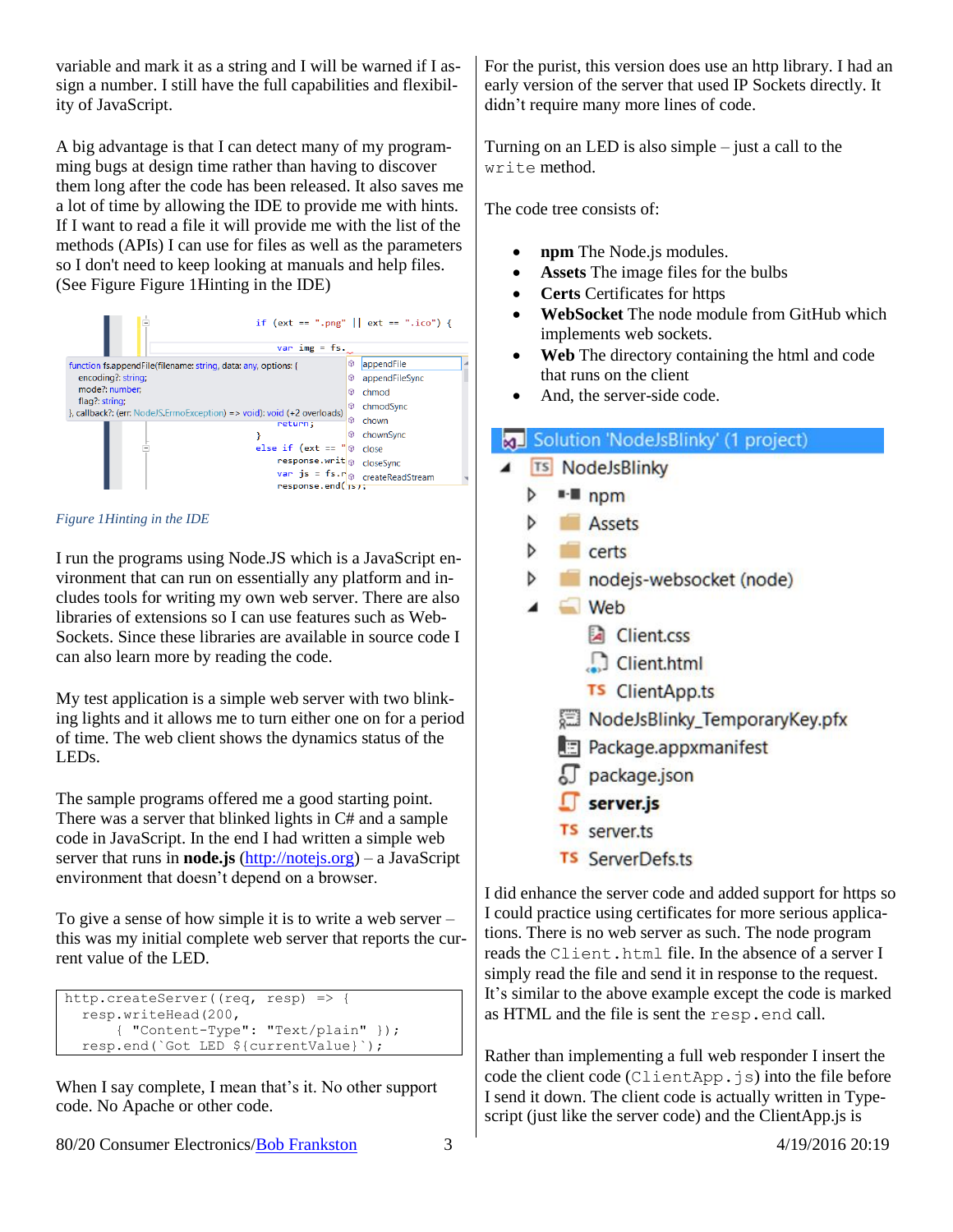variable and mark it as a string and I will be warned if I assign a number. I still have the full capabilities and flexibility of JavaScript.

A big advantage is that I can detect many of my programming bugs at design time rather than having to discover them long after the code has been released. It also saves me a lot of time by allowing the IDE to provide me with hints. If I want to read a file it will provide me with the list of the methods (APIs) I can use for files as well as the parameters so I don't need to keep looking at manuals and help files. (See Figure [Figure 1Hinting in the IDE\)](#page-2-0)



<span id="page-2-0"></span>*Figure 1Hinting in the IDE*

I run the programs using Node.JS which is a JavaScript environment that can run on essentially any platform and includes tools for writing my own web server. There are also libraries of extensions so I can use features such as Web-Sockets. Since these libraries are available in source code I can also learn more by reading the code.

My test application is a simple web server with two blinking lights and it allows me to turn either one on for a period of time. The web client shows the dynamics status of the LEDs.

The sample programs offered me a good starting point. There was a server that blinked lights in C# and a sample code in JavaScript. In the end I had written a simple web server that runs in **node.js** [\(http://notejs.org\)](http://notejs.org/) – a JavaScript environment that doesn't depend on a browser.

To give a sense of how simple it is to write a web server – this was my initial complete web server that reports the current value of the LED.

```
http.createServer((req, resp) => {
resp.writeHead(200,
    { "Content-Type": "Text/plain" });
resp.end(`Got LED ${currentValue}`);
```
When I say complete, I mean that's it. No other support code. No Apache or other code.

For the purist, this version does use an http library. I had an early version of the server that used IP Sockets directly. It didn't require many more lines of code.

Turning on an LED is also simple  $-$  just a call to the write method.

The code tree consists of:

- **npm** The Node.js modules.
- **Assets** The image files for the bulbs
- **Certs** Certificates for https
- **WebSocket** The node module from GitHub which implements web sockets.
- Web The directory containing the html and code that runs on the client
- And, the server-side code.

#### Solution 'NodeJsBlinky' (1 project)

- TS NodeJsBlinky ◢
	- D  $\blacksquare$  npm
	- D Assets
	- d certs
	- nodejs-websocket (node) D
	- $\blacksquare$  Web
		- Client.css
		- $\bigcap$  Client.html
		- **TS** ClientApp.ts
		- ModeJsBlinky\_TemporaryKey.pfx
		- Package.appxmanifest
		- package.json
		- server.js
		- *FIGURE 5 FIGURE 5 FIGURE 5 FIGURE 5* **<b>***FIGURE 5 FIGURE 5 FIGURE 5 FIGURE 5*
		- **TS** ServerDefs.ts

I did enhance the server code and added support for https so I could practice using certificates for more serious applications. There is no web server as such. The node program reads the Client.html file. In the absence of a server I simply read the file and send it in response to the request. It's similar to the above example except the code is marked as HTML and the file is sent the resp.end call.

Rather than implementing a full web responder I insert the code the client code (ClientApp.js) into the file before I send it down. The client code is actually written in Typescript (just like the server code) and the ClientApp.js is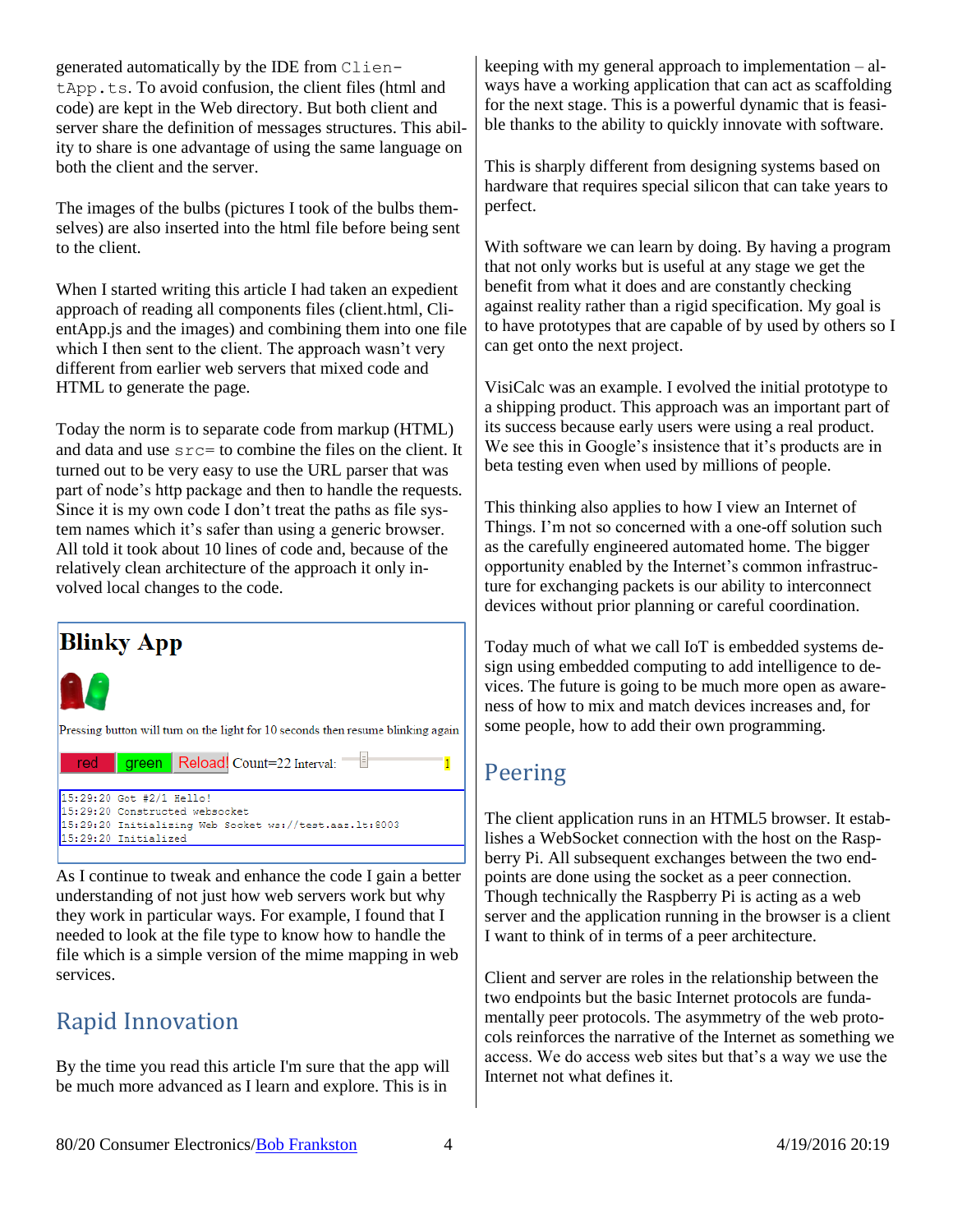generated automatically by the IDE from ClientApp.ts. To avoid confusion, the client files (html and code) are kept in the Web directory. But both client and server share the definition of messages structures. This ability to share is one advantage of using the same language on both the client and the server.

The images of the bulbs (pictures I took of the bulbs themselves) are also inserted into the html file before being sent to the client.

When I started writing this article I had taken an expedient approach of reading all components files (client.html, ClientApp.js and the images) and combining them into one file which I then sent to the client. The approach wasn't very different from earlier web servers that mixed code and HTML to generate the page.

Today the norm is to separate code from markup (HTML) and data and use src= to combine the files on the client. It turned out to be very easy to use the URL parser that was part of node's http package and then to handle the requests. Since it is my own code I don't treat the paths as file system names which it's safer than using a generic browser. All told it took about 10 lines of code and, because of the relatively clean architecture of the approach it only involved local changes to the code.

## **Blinky App**



red

Pressing button will turn on the light for 10 seconds then resume blinking again

green Reload! Count=22 Interval: 15:29:20 Got #2/1 Hello! 15:29:20 Constructed websocket 15:29:20 Initializing Web Socket ws://test.aaz.lt:8003 15:29:20 Initialized

As I continue to tweak and enhance the code I gain a better understanding of not just how web servers work but why they work in particular ways. For example, I found that I needed to look at the file type to know how to handle the file which is a simple version of the mime mapping in web services.

# Rapid Innovation

By the time you read this article I'm sure that the app will be much more advanced as I learn and explore. This is in

keeping with my general approach to implementation – always have a working application that can act as scaffolding for the next stage. This is a powerful dynamic that is feasible thanks to the ability to quickly innovate with software.

This is sharply different from designing systems based on hardware that requires special silicon that can take years to perfect.

With software we can learn by doing. By having a program that not only works but is useful at any stage we get the benefit from what it does and are constantly checking against reality rather than a rigid specification. My goal is to have prototypes that are capable of by used by others so I can get onto the next project.

VisiCalc was an example. I evolved the initial prototype to a shipping product. This approach was an important part of its success because early users were using a real product. We see this in Google's insistence that it's products are in beta testing even when used by millions of people.

This thinking also applies to how I view an Internet of Things. I'm not so concerned with a one-off solution such as the carefully engineered automated home. The bigger opportunity enabled by the Internet's common infrastructure for exchanging packets is our ability to interconnect devices without prior planning or careful coordination.

Today much of what we call IoT is embedded systems design using embedded computing to add intelligence to devices. The future is going to be much more open as awareness of how to mix and match devices increases and, for some people, how to add their own programming.

## Peering

The client application runs in an HTML5 browser. It establishes a WebSocket connection with the host on the Raspberry Pi. All subsequent exchanges between the two endpoints are done using the socket as a peer connection. Though technically the Raspberry Pi is acting as a web server and the application running in the browser is a client I want to think of in terms of a peer architecture.

Client and server are roles in the relationship between the two endpoints but the basic Internet protocols are fundamentally peer protocols. The asymmetry of the web protocols reinforces the narrative of the Internet as something we access. We do access web sites but that's a way we use the Internet not what defines it.

 $\overline{1}$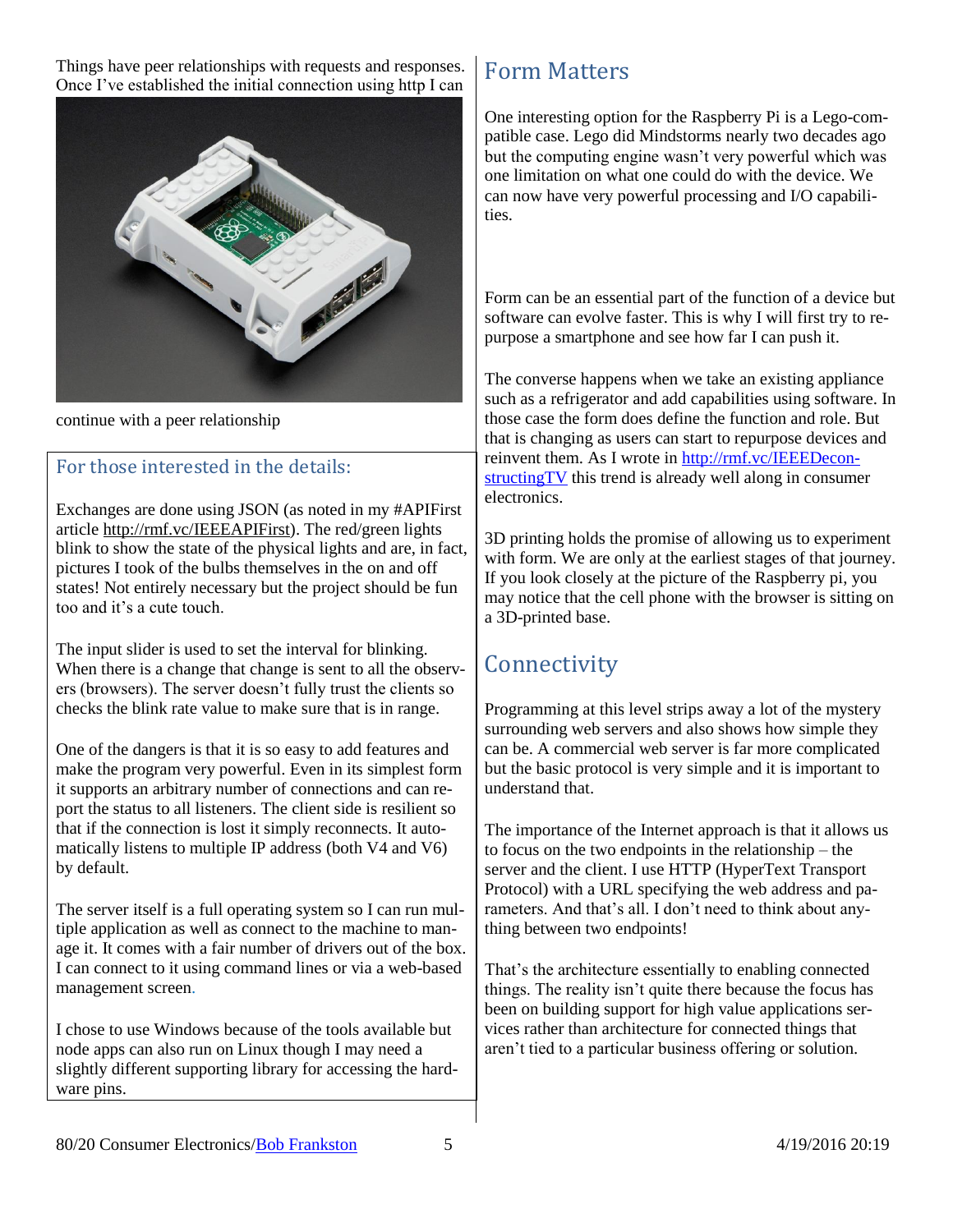Things have peer relationships with requests and responses. Once I've established the initial connection using http I can



continue with a peer relationship

#### For those interested in the details:

Exchanges are done using JSON (as noted in my #APIFirst article [http://rmf.vc/IEEEAPIFirst\)](http://rmf.vc/IEEEAPIFirst). The red/green lights blink to show the state of the physical lights and are, in fact, pictures I took of the bulbs themselves in the on and off states! Not entirely necessary but the project should be fun too and it's a cute touch.

The input slider is used to set the interval for blinking. When there is a change that change is sent to all the observers (browsers). The server doesn't fully trust the clients so checks the blink rate value to make sure that is in range.

One of the dangers is that it is so easy to add features and make the program very powerful. Even in its simplest form it supports an arbitrary number of connections and can report the status to all listeners. The client side is resilient so that if the connection is lost it simply reconnects. It automatically listens to multiple IP address (both V4 and V6) by default.

The server itself is a full operating system so I can run multiple application as well as connect to the machine to manage it. It comes with a fair number of drivers out of the box. I can connect to it using command lines or via a web-based management screen.

I chose to use Windows because of the tools available but node apps can also run on Linux though I may need a slightly different supporting library for accessing the hardware pins.

# Form Matters

One interesting option for the Raspberry Pi is a Lego-compatible case. Lego did Mindstorms nearly two decades ago but the computing engine wasn't very powerful which was one limitation on what one could do with the device. We can now have very powerful processing and I/O capabilities.

Form can be an essential part of the function of a device but software can evolve faster. This is why I will first try to repurpose a smartphone and see how far I can push it.

The converse happens when we take an existing appliance such as a refrigerator and add capabilities using software. In those case the form does define the function and role. But that is changing as users can start to repurpose devices and reinvent them. As I wrote in [http://rmf.vc/IEEEDecon](http://rmf.vc/IEEEDeconstructingTV)[structingTV](http://rmf.vc/IEEEDeconstructingTV) this trend is already well along in consumer electronics.

3D printing holds the promise of allowing us to experiment with form. We are only at the earliest stages of that journey. If you look closely at the picture of the Raspberry pi, you may notice that the cell phone with the browser is sitting on a 3D-printed base.

## **Connectivity**

Programming at this level strips away a lot of the mystery surrounding web servers and also shows how simple they can be. A commercial web server is far more complicated but the basic protocol is very simple and it is important to understand that.

The importance of the Internet approach is that it allows us to focus on the two endpoints in the relationship – the server and the client. I use HTTP (HyperText Transport Protocol) with a URL specifying the web address and parameters. And that's all. I don't need to think about anything between two endpoints!

That's the architecture essentially to enabling connected things. The reality isn't quite there because the focus has been on building support for high value applications services rather than architecture for connected things that aren't tied to a particular business offering or solution.